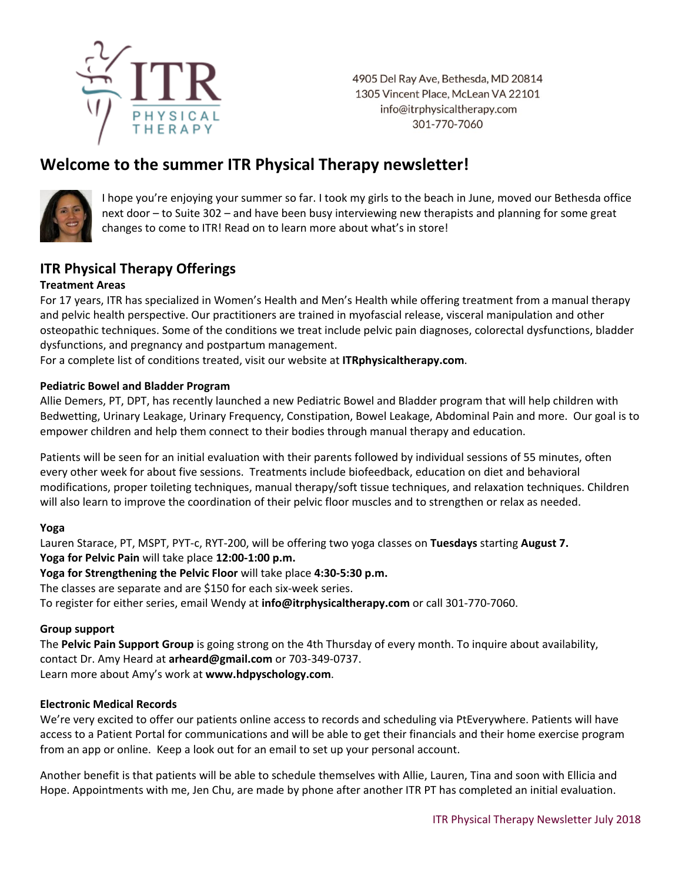

4905 Del Ray Ave, Bethesda, MD 20814 1305 Vincent Place, McLean VA 22101 info@itrphysicaltherapy.com 301-770-7060

# **Welcome to the summer ITR Physical Therapy newsletter!**



I hope you're enjoying your summer so far. I took my girls to the beach in June, moved our Bethesda office next door – to Suite 302 – and have been busy interviewing new therapists and planning for some great changes to come to ITR! Read on to learn more about what's in store!

## **ITR Physical Therapy Offerings**

#### **Treatment Areas**

For 17 years, ITR has specialized in Women's Health and Men's Health while offering treatment from a manual therapy and pelvic health perspective. Our practitioners are trained in myofascial release, visceral manipulation and other osteopathic techniques. Some of the conditions we treat include pelvic pain diagnoses, colorectal dysfunctions, bladder dysfunctions, and pregnancy and postpartum management.

For a complete list of conditions treated, visit our website at **ITRphysicaltherapy.com**.

#### **Pediatric Bowel and Bladder Program**

Allie Demers, PT, DPT, has recently launched a new Pediatric Bowel and Bladder program that will help children with Bedwetting, Urinary Leakage, Urinary Frequency, Constipation, Bowel Leakage, Abdominal Pain and more. Our goal is to empower children and help them connect to their bodies through manual therapy and education.

Patients will be seen for an initial evaluation with their parents followed by individual sessions of 55 minutes, often every other week for about five sessions. Treatments include biofeedback, education on diet and behavioral modifications, proper toileting techniques, manual therapy/soft tissue techniques, and relaxation techniques. Children will also learn to improve the coordination of their pelvic floor muscles and to strengthen or relax as needed.

#### **Yoga**

Lauren Starace, PT, MSPT, PYT-c, RYT-200, will be offering two yoga classes on **Tuesdays** starting **August 7. Yoga for Pelvic Pain** will take place **12:00-1:00 p.m.**

**Yoga for Strengthening the Pelvic Floor** will take place **4:30-5:30 p.m.**

The classes are separate and are \$150 for each six-week series.

To register for either series, email Wendy at **info@itrphysicaltherapy.com** or call 301-770-7060.

#### **Group support**

The **Pelvic Pain Support Group** is going strong on the 4th Thursday of every month. To inquire about availability, contact Dr. Amy Heard at **[arheard@gmail.com](mailto:arheard@gmail.com)** or 703-349-0737. Learn more about Amy's work at **www.hdpyschology.com**.

#### **Electronic Medical Records**

We're very excited to offer our patients online access to records and scheduling via PtEverywhere. Patients will have access to a Patient Portal for communications and will be able to get their financials and their home exercise program from an app or online. Keep a look out for an email to set up your personal account.

Another benefit is that patients will be able to schedule themselves with Allie, Lauren, Tina and soon with Ellicia and Hope. Appointments with me, Jen Chu, are made by phone after another ITR PT has completed an initial evaluation.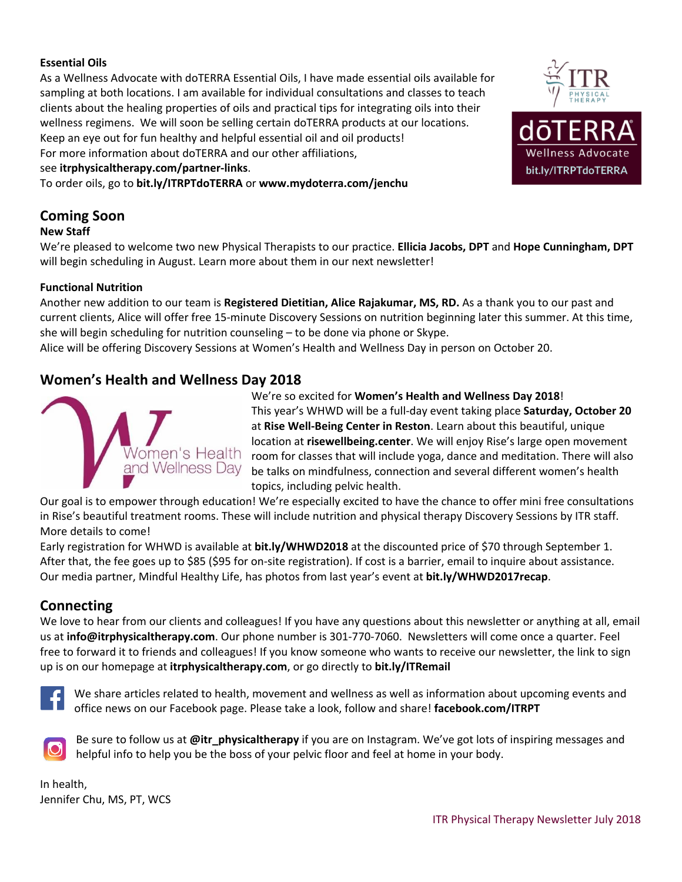#### **Essential Oils**

As a Wellness Advocate with doTERRA Essential Oils, I have made essential oils available for sampling at both locations. I am available for individual consultations and classes to teach clients about the healing properties of oils and practical tips for integrating oils into their wellness regimens. We will soon be selling certain doTERRA products at our locations. Keep an eye out for fun healthy and helpful essential oil and oil products! For more information about doTERRA and our other affiliations,

#### see **[itrphysicaltherapy.com/partner-links](http://itrphysicaltherapy.com/partner-links/)**.

To order oils, go to **bit.ly/ITRPTdoTERRA** or **www.mydoterra.com/jenchu**



# **Coming Soon**

#### **New Staff**

We're pleased to welcome two new Physical Therapists to our practice. **Ellicia Jacobs, DPT** and **Hope Cunningham, DPT** will begin scheduling in August. Learn more about them in our next newsletter!

#### **Functional Nutrition**

Another new addition to our team is **Registered Dietitian, Alice Rajakumar, MS, RD.** As a thank you to our past and current clients, Alice will offer free 15-minute Discovery Sessions on nutrition beginning later this summer. At this time, she will begin scheduling for nutrition counseling – to be done via phone or Skype.

Alice will be offering Discovery Sessions at Women's Health and Wellness Day in person on October 20.

### **Women's Health and Wellness Day 2018**



We're so excited for **Women's Health and Wellness Day 2018**! This year's WHWD will be a full-day event taking place **Saturday, October 20** at **Rise Well-Being Center in Reston**. Learn about this beautiful, unique location at **risewellbeing.center**. We will enjoy Rise's large open movement room for classes that will include yoga, dance and meditation. There will also be talks on mindfulness, connection and several different women's health topics, including pelvic health.

Our goal is to empower through education! We're especially excited to have the chance to offer mini free consultations in Rise's beautiful treatment rooms. These will include nutrition and physical therapy Discovery Sessions by ITR staff. More details to come!

Early registration for WHWD is available at **bit.ly/WHWD2018** at the discounted price of \$70 through September 1. After that, the fee goes up to \$85 (\$95 for on-site registration). If cost is a barrier, email to inquire about assistance. Our media partner, Mindful Healthy Life, has photos from last year's event at **bit.ly/WHWD2017recap**.

### **Connecting**

We love to hear from our clients and colleagues! If you have any questions about this newsletter or anything at all, email us at **[info@itrphysicaltherapy.com](mailto:info@itrphysicaltherapy.com)**. Our phone number is 301-770-7060. Newsletters will come once a quarter. Feel free to forward it to friends and colleagues! If you know someone who wants to receive our newsletter, the link to sign up is on our homepage at **itrphysicaltherapy.com**, or go directly to **bit.ly/ITRemail**



We share articles related to health, movement and wellness as well as information about upcoming events and office news on our Facebook page. Please take a look, follow and share! **facebook.com/ITRPT**



Be sure to follow us at **@itr\_physicaltherapy** if you are on Instagram. We've got lots of inspiring messages and helpful info to help you be the boss of your pelvic floor and feel at home in your body.

In health, Jennifer Chu, MS, PT, WCS